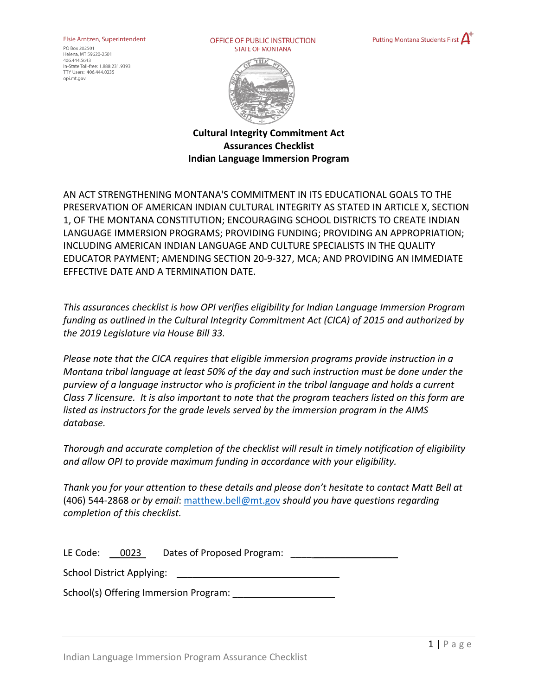## Elsie Arntzen, Superintendent

PO Box 202501 Helena, MT 59620-2501 406.444.5643 In-State Toll-free: 1,888,231,9393 TTY Users: 406.444.0235 opi.mt.gov

OFFICE OF PUBLIC INSTRUCTION **STATE OF MONTANA** 





**Cultural Integrity Commitment Act Assurances Checklist Indian Language Immersion Program**

AN ACT STRENGTHENING MONTANA'S COMMITMENT IN ITS EDUCATIONAL GOALS TO THE PRESERVATION OF AMERICAN INDIAN CULTURAL INTEGRITY AS STATED IN ARTICLE X, SECTION 1, OF THE MONTANA CONSTITUTION; ENCOURAGING SCHOOL DISTRICTS TO CREATE INDIAN LANGUAGE IMMERSION PROGRAMS; PROVIDING FUNDING; PROVIDING AN APPROPRIATION; INCLUDING AMERICAN INDIAN LANGUAGE AND CULTURE SPECIALISTS IN THE QUALITY EDUCATOR PAYMENT; AMENDING SECTION 20-9-327, MCA; AND PROVIDING AN IMMEDIATE EFFECTIVE DATE AND A TERMINATION DATE.

*This assurances checklist is how OPI verifies eligibility for Indian Language Immersion Program funding as outlined in the Cultural Integrity Commitment Act (CICA) of 2015 and authorized by the 2019 Legislature via House Bill 33.* 

*Please note that the CICA requires that eligible immersion programs provide instruction in a Montana tribal language at least 50% of the day and such instruction must be done under the purview of a language instructor who is proficient in the tribal language and holds a current Class 7 licensure. It is also important to note that the program teachers listed on this form are listed as instructors for the grade levels served by the immersion program in the AIMS database.* 

*Thorough and accurate completion of the checklist will result in timely notification of eligibility and allow OPI to provide maximum funding in accordance with your eligibility.*

*Thank you for your attention to these details and please don't hesitate to contact Matt Bell at* (406) 544-2868 *or by email*: [matthew.bell@mt.gov](mailto:matthew.bell@mt.gov) *should you have questions regarding completion of this checklist.*

LE Code: 0023 Dates of Proposed Program:

School District Applying:

School(s) Offering Immersion Program: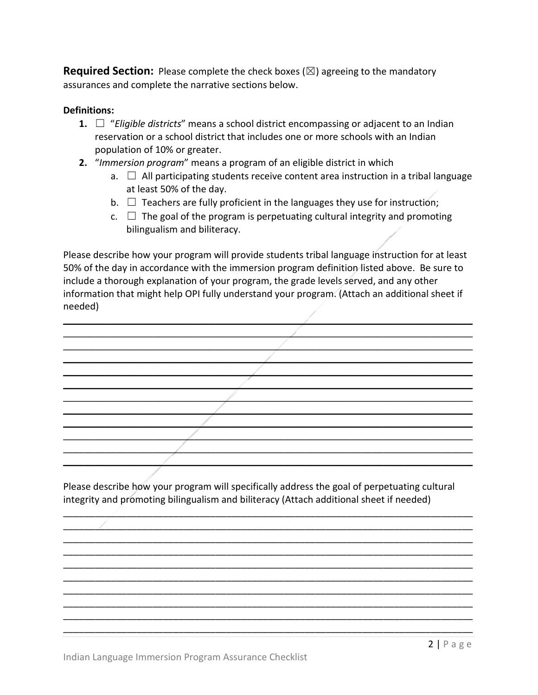**Required Section:** Please complete the check boxes  $(\boxtimes)$  agreeing to the mandatory assurances and complete the narrative sections below.

## **Definitions:**

- **1.** ☐ "*Eligible districts*" means a school district encompassing or adjacent to an Indian reservation or a school district that includes one or more schools with an Indian population of 10% or greater.
- **2.** "*Immersion program*" means a program of an eligible district in which
	- a.  $\Box$  All participating students receive content area instruction in a tribal language at least 50% of the day.
	- b.  $\Box$  Teachers are fully proficient in the languages they use for instruction;
	- $c. \Box$  The goal of the program is perpetuating cultural integrity and promoting bilingualism and biliteracy.

Please describe how your program will provide students tribal language instruction for at least 50% of the day in accordance with the immersion program definition listed above. Be sure to include a thorough explanation of your program, the grade levels served, and any other information that might help OPI fully understand your program. (Attach an additional sheet if needed)

 $\frac{1}{2}$  $\overline{\phantom{a}}$  $\overline{\phantom{a}}$  $\overline{\phantom{a}}$  $\overline{\phantom{a}}$  , and the contract of the contract of the contract of the contract of the contract of the contract of the contract of the contract of the contract of the contract of the contract of the contract of the contrac  $\frac{1}{2}$  ,  $\frac{1}{2}$  ,  $\frac{1}{2}$  ,  $\frac{1}{2}$  ,  $\frac{1}{2}$  ,  $\frac{1}{2}$  ,  $\frac{1}{2}$  ,  $\frac{1}{2}$  ,  $\frac{1}{2}$  ,  $\frac{1}{2}$  ,  $\frac{1}{2}$  ,  $\frac{1}{2}$  ,  $\frac{1}{2}$  ,  $\frac{1}{2}$  ,  $\frac{1}{2}$  ,  $\frac{1}{2}$  ,  $\frac{1}{2}$  ,  $\frac{1}{2}$  ,  $\frac{1$  $\overline{\phantom{a}}$  $\overline{\phantom{a}}$  $\mathbb{Z}$  $\mathcal{L}=\{1,2,3,4,5,6,6,7,10\}$  $\overline{\phantom{a}}$  $\overline{\phantom{a}}$ 

Please describe how your program will specifically address the goal of perpetuating cultural integrity and promoting bilingualism and biliteracy (Attach additional sheet if needed)

\_\_\_\_\_\_\_\_\_\_\_\_\_\_\_\_\_\_\_\_\_\_\_\_\_\_\_\_\_\_\_\_\_\_\_\_\_\_\_\_\_\_\_\_\_\_\_\_\_\_\_\_\_\_\_\_\_\_\_\_\_\_\_\_\_\_\_\_\_\_\_\_\_\_\_\_\_\_ \_\_\_\_\_\_\_\_\_\_\_\_\_\_\_\_\_\_\_\_\_\_\_\_\_\_\_\_\_\_\_\_\_\_\_\_\_\_\_\_\_\_\_\_\_\_\_\_\_\_\_\_\_\_\_\_\_\_\_\_\_\_\_\_\_\_\_\_\_\_\_\_\_\_\_\_\_\_ \_\_\_\_\_\_\_\_\_\_\_\_\_\_\_\_\_\_\_\_\_\_\_\_\_\_\_\_\_\_\_\_\_\_\_\_\_\_\_\_\_\_\_\_\_\_\_\_\_\_\_\_\_\_\_\_\_\_\_\_\_\_\_\_\_\_\_\_\_\_\_\_\_\_\_\_\_\_ \_\_\_\_\_\_\_\_\_\_\_\_\_\_\_\_\_\_\_\_\_\_\_\_\_\_\_\_\_\_\_\_\_\_\_\_\_\_\_\_\_\_\_\_\_\_\_\_\_\_\_\_\_\_\_\_\_\_\_\_\_\_\_\_\_\_\_\_\_\_\_\_\_\_\_\_\_\_ \_\_\_\_\_\_\_\_\_\_\_\_\_\_\_\_\_\_\_\_\_\_\_\_\_\_\_\_\_\_\_\_\_\_\_\_\_\_\_\_\_\_\_\_\_\_\_\_\_\_\_\_\_\_\_\_\_\_\_\_\_\_\_\_\_\_\_\_\_\_\_\_\_\_\_\_\_\_ \_\_\_\_\_\_\_\_\_\_\_\_\_\_\_\_\_\_\_\_\_\_\_\_\_\_\_\_\_\_\_\_\_\_\_\_\_\_\_\_\_\_\_\_\_\_\_\_\_\_\_\_\_\_\_\_\_\_\_\_\_\_\_\_\_\_\_\_\_\_\_\_\_\_\_\_\_\_ \_\_\_\_\_\_\_\_\_\_\_\_\_\_\_\_\_\_\_\_\_\_\_\_\_\_\_\_\_\_\_\_\_\_\_\_\_\_\_\_\_\_\_\_\_\_\_\_\_\_\_\_\_\_\_\_\_\_\_\_\_\_\_\_\_\_\_\_\_\_\_\_\_\_\_\_\_\_ \_\_\_\_\_\_\_\_\_\_\_\_\_\_\_\_\_\_\_\_\_\_\_\_\_\_\_\_\_\_\_\_\_\_\_\_\_\_\_\_\_\_\_\_\_\_\_\_\_\_\_\_\_\_\_\_\_\_\_\_\_\_\_\_\_\_\_\_\_\_\_\_\_\_\_\_\_\_ \_\_\_\_\_\_\_\_\_\_\_\_\_\_\_\_\_\_\_\_\_\_\_\_\_\_\_\_\_\_\_\_\_\_\_\_\_\_\_\_\_\_\_\_\_\_\_\_\_\_\_\_\_\_\_\_\_\_\_\_\_\_\_\_\_\_\_\_\_\_\_\_\_\_\_\_\_\_ \_\_\_\_\_\_\_\_\_\_\_\_\_\_\_\_\_\_\_\_\_\_\_\_\_\_\_\_\_\_\_\_\_\_\_\_\_\_\_\_\_\_\_\_\_\_\_\_\_\_\_\_\_\_\_\_\_\_\_\_\_\_\_\_\_\_\_\_\_\_\_\_\_\_\_\_\_\_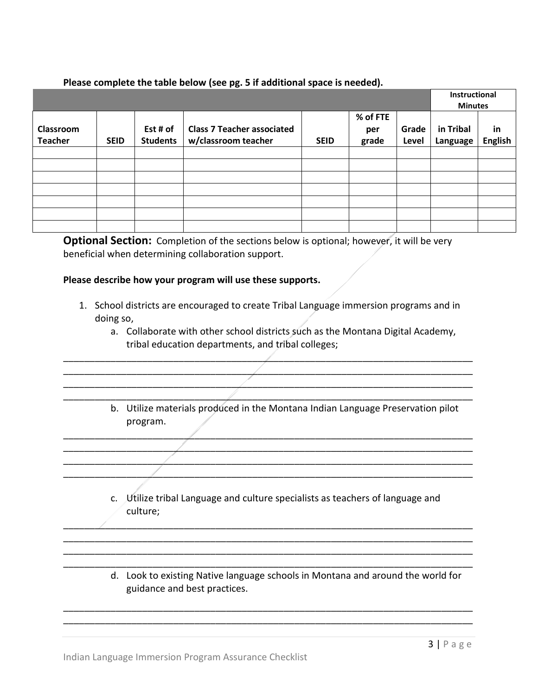## **Please complete the table below (see pg. 5 if additional space is needed).**

|                             |             |                             |                                                          | Instructional<br><b>Minutes</b> |                          |                |                       |                      |
|-----------------------------|-------------|-----------------------------|----------------------------------------------------------|---------------------------------|--------------------------|----------------|-----------------------|----------------------|
| Classroom<br><b>Teacher</b> | <b>SEID</b> | Est # of<br><b>Students</b> | <b>Class 7 Teacher associated</b><br>w/classroom teacher | <b>SEID</b>                     | % of FTE<br>per<br>grade | Grade<br>Level | in Tribal<br>Language | in<br><b>English</b> |
|                             |             |                             |                                                          |                                 |                          |                |                       |                      |
|                             |             |                             |                                                          |                                 |                          |                |                       |                      |
|                             |             |                             |                                                          |                                 |                          |                |                       |                      |
|                             |             |                             |                                                          |                                 |                          |                |                       |                      |
|                             |             |                             |                                                          |                                 |                          |                |                       |                      |
|                             |             |                             |                                                          |                                 |                          |                |                       |                      |
|                             |             |                             |                                                          |                                 |                          |                |                       |                      |

**Optional Section:** Completion of the sections below is optional; however, it will be very beneficial when determining collaboration support.

## **Please describe how your program will use these supports.**

1. School districts are encouraged to create Tribal Language immersion programs and in doing so,

\_\_\_\_\_\_\_\_\_\_\_\_\_\_\_\_\_\_\_\_\_\_\_\_\_\_\_\_\_\_\_\_\_\_\_\_\_\_\_\_\_\_\_\_\_\_\_\_\_\_\_\_\_\_\_\_\_\_\_\_\_\_\_\_\_\_\_\_\_\_\_\_\_\_\_\_\_\_ \_\_\_\_\_\_\_\_\_\_\_\_\_\_\_\_\_\_\_\_\_\_\_\_\_\_\_\_\_\_\_\_\_\_\_\_\_\_\_\_\_\_\_\_\_\_\_\_\_\_\_\_\_\_\_\_\_\_\_\_\_\_\_\_\_\_\_\_\_\_\_\_\_\_\_\_\_\_ \_\_\_\_\_\_\_\_\_\_\_\_\_\_\_\_\_\_\_\_\_\_\_\_\_\_\_\_\_\_\_\_\_\_\_\_\_\_\_\_\_\_\_\_\_\_\_\_\_\_\_\_\_\_\_\_\_\_\_\_\_\_\_\_\_\_\_\_\_\_\_\_\_\_\_\_\_\_ \_\_\_\_\_\_\_\_\_\_\_\_\_\_\_\_\_\_\_\_\_\_\_\_\_\_\_\_\_\_\_\_\_\_\_\_\_\_\_\_\_\_\_\_\_\_\_\_\_\_\_\_\_\_\_\_\_\_\_\_\_\_\_\_\_\_\_\_\_\_\_\_\_\_\_\_\_\_

\_\_\_\_\_\_\_\_\_\_\_\_\_\_\_\_\_\_\_\_\_\_\_\_\_\_\_\_\_\_\_\_\_\_\_\_\_\_\_\_\_\_\_\_\_\_\_\_\_\_\_\_\_\_\_\_\_\_\_\_\_\_\_\_\_\_\_\_\_\_\_\_\_\_\_\_\_\_ \_\_\_\_\_\_\_\_\_\_\_\_\_\_\_\_\_\_\_\_\_\_\_\_\_\_\_\_\_\_\_\_\_\_\_\_\_\_\_\_\_\_\_\_\_\_\_\_\_\_\_\_\_\_\_\_\_\_\_\_\_\_\_\_\_\_\_\_\_\_\_\_\_\_\_\_\_\_ \_\_\_\_\_\_\_\_\_\_\_\_\_\_\_\_\_\_\_\_\_\_\_\_\_\_\_\_\_\_\_\_\_\_\_\_\_\_\_\_\_\_\_\_\_\_\_\_\_\_\_\_\_\_\_\_\_\_\_\_\_\_\_\_\_\_\_\_\_\_\_\_\_\_\_\_\_\_ \_\_\_\_\_\_\_\_\_\_\_\_\_\_\_\_\_\_\_\_\_\_\_\_\_\_\_\_\_\_\_\_\_\_\_\_\_\_\_\_\_\_\_\_\_\_\_\_\_\_\_\_\_\_\_\_\_\_\_\_\_\_\_\_\_\_\_\_\_\_\_\_\_\_\_\_\_\_

- a. Collaborate with other school districts such as the Montana Digital Academy, tribal education departments, and tribal colleges;
- b. Utilize materials produced in the Montana Indian Language Preservation pilot program.
- c. Utilize tribal Language and culture specialists as teachers of language and culture;

\_\_\_\_\_\_\_\_\_\_\_\_\_\_\_\_\_\_\_\_\_\_\_\_\_\_\_\_\_\_\_\_\_\_\_\_\_\_\_\_\_\_\_\_\_\_\_\_\_\_\_\_\_\_\_\_\_\_\_\_\_\_\_\_\_\_\_\_\_\_\_\_\_\_\_\_\_\_ \_\_\_\_\_\_\_\_\_\_\_\_\_\_\_\_\_\_\_\_\_\_\_\_\_\_\_\_\_\_\_\_\_\_\_\_\_\_\_\_\_\_\_\_\_\_\_\_\_\_\_\_\_\_\_\_\_\_\_\_\_\_\_\_\_\_\_\_\_\_\_\_\_\_\_\_\_\_ \_\_\_\_\_\_\_\_\_\_\_\_\_\_\_\_\_\_\_\_\_\_\_\_\_\_\_\_\_\_\_\_\_\_\_\_\_\_\_\_\_\_\_\_\_\_\_\_\_\_\_\_\_\_\_\_\_\_\_\_\_\_\_\_\_\_\_\_\_\_\_\_\_\_\_\_\_\_ \_\_\_\_\_\_\_\_\_\_\_\_\_\_\_\_\_\_\_\_\_\_\_\_\_\_\_\_\_\_\_\_\_\_\_\_\_\_\_\_\_\_\_\_\_\_\_\_\_\_\_\_\_\_\_\_\_\_\_\_\_\_\_\_\_\_\_\_\_\_\_\_\_\_\_\_\_\_

\_\_\_\_\_\_\_\_\_\_\_\_\_\_\_\_\_\_\_\_\_\_\_\_\_\_\_\_\_\_\_\_\_\_\_\_\_\_\_\_\_\_\_\_\_\_\_\_\_\_\_\_\_\_\_\_\_\_\_\_\_\_\_\_\_\_\_\_\_\_\_\_\_\_\_\_\_\_ \_\_\_\_\_\_\_\_\_\_\_\_\_\_\_\_\_\_\_\_\_\_\_\_\_\_\_\_\_\_\_\_\_\_\_\_\_\_\_\_\_\_\_\_\_\_\_\_\_\_\_\_\_\_\_\_\_\_\_\_\_\_\_\_\_\_\_\_\_\_\_\_\_\_\_\_\_\_

d. Look to existing Native language schools in Montana and around the world for guidance and best practices.